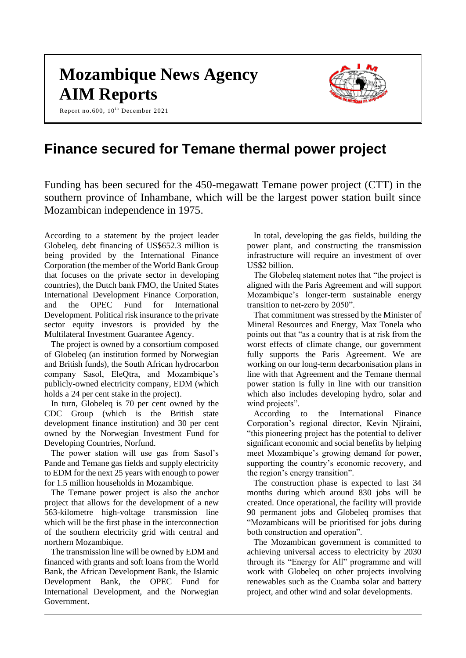# **Mozambique News Agency AIM Reports**

Report no.600,  $10^{th}$  December 2021



# **Finance secured for Temane thermal power project**

Funding has been secured for the 450-megawatt Temane power project (CTT) in the southern province of Inhambane, which will be the largest power station built since Mozambican independence in 1975.

According to a statement by the project leader Globeleq, debt financing of US\$652.3 million is being provided by the International Finance Corporation (the member of the World Bank Group that focuses on the private sector in developing countries), the Dutch bank FMO, the United States International Development Finance Corporation, and the OPEC Fund for International Development. Political risk insurance to the private sector equity investors is provided by the Multilateral Investment Guarantee Agency.

The project is owned by a consortium composed of Globeleq (an institution formed by Norwegian and British funds), the South African hydrocarbon company Sasol, EleQtra, and Mozambique's publicly-owned electricity company, EDM (which holds a 24 per cent stake in the project).

In turn, Globeleq is 70 per cent owned by the CDC Group (which is the British state development finance institution) and 30 per cent owned by the Norwegian Investment Fund for Developing Countries, Norfund.

The power station will use gas from Sasol's Pande and Temane gas fields and supply electricity to EDM for the next 25 years with enough to power for 1.5 million households in Mozambique.

The Temane power project is also the anchor project that allows for the development of a new 563-kilometre high-voltage transmission line which will be the first phase in the interconnection of the southern electricity grid with central and northern Mozambique.

The transmission line will be owned by EDM and financed with grants and soft loans from the World Bank, the African Development Bank, the Islamic Development Bank, the OPEC Fund for International Development, and the Norwegian Government.

In total, developing the gas fields, building the power plant, and constructing the transmission infrastructure will require an investment of over US\$2 billion.

The Globeleq statement notes that "the project is aligned with the Paris Agreement and will support Mozambique's longer-term sustainable energy transition to net-zero by 2050".

That commitment was stressed by the Minister of Mineral Resources and Energy, Max Tonela who points out that "as a country that is at risk from the worst effects of climate change, our government fully supports the Paris Agreement. We are working on our long-term decarbonisation plans in line with that Agreement and the Temane thermal power station is fully in line with our transition which also includes developing hydro, solar and wind projects".

According to the International Finance Corporation's regional director, Kevin Njiraini, "this pioneering project has the potential to deliver significant economic and social benefits by helping meet Mozambique's growing demand for power, supporting the country's economic recovery, and the region's energy transition".

The construction phase is expected to last 34 months during which around 830 jobs will be created. Once operational, the facility will provide 90 permanent jobs and Globeleq promises that "Mozambicans will be prioritised for jobs during both construction and operation".

The Mozambican government is committed to achieving universal access to electricity by 2030 through its "Energy for All" programme and will work with Globeleq on other projects involving renewables such as the Cuamba solar and battery project, and other wind and solar developments.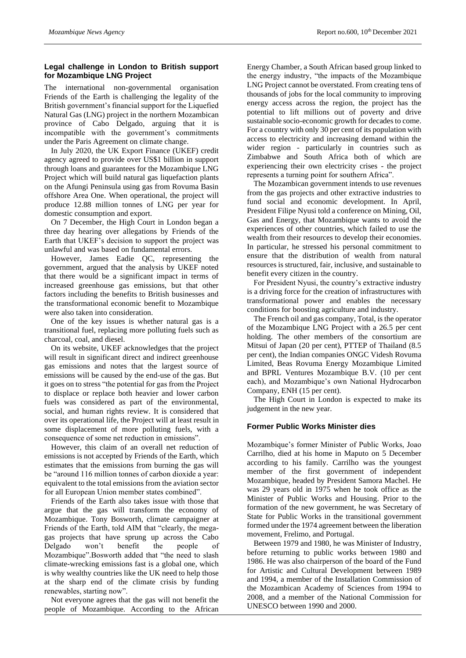# **Legal challenge in London to British support for Mozambique LNG Project**

The international non-governmental organisation Friends of the Earth is challenging the legality of the British government's financial support for the Liquefied Natural Gas (LNG) project in the northern Mozambican province of Cabo Delgado, arguing that it is incompatible with the government's commitments under the Paris Agreement on climate change.

In July 2020, the UK Export Finance (UKEF) credit agency agreed to provide over US\$1 billion in support through loans and guarantees for the Mozambique LNG Project which will build natural gas liquefaction plants on the Afungi Peninsula using gas from Rovuma Basin offshore Area One. When operational, the project will produce 12.88 million tonnes of LNG per year for domestic consumption and export.

On 7 December, the High Court in London began a three day hearing over allegations by Friends of the Earth that UKEF's decision to support the project was unlawful and was based on fundamental errors.

However, James Eadie QC, representing the government, argued that the analysis by UKEF noted that there would be a significant impact in terms of increased greenhouse gas emissions, but that other factors including the benefits to British businesses and the transformational economic benefit to Mozambique were also taken into consideration.

One of the key issues is whether natural gas is a transitional fuel, replacing more polluting fuels such as charcoal, coal, and diesel.

On its website, UKEF acknowledges that the project will result in significant direct and indirect greenhouse gas emissions and notes that the largest source of emissions will be caused by the end-use of the gas. But it goes on to stress "the potential for gas from the Project to displace or replace both heavier and lower carbon fuels was considered as part of the environmental, social, and human rights review. It is considered that over its operational life, the Project will at least result in some displacement of more polluting fuels, with a consequence of some net reduction in emissions".

However, this claim of an overall net reduction of emissions is not accepted by Friends of the Earth, which estimates that the emissions from burning the gas will be "around 116 million tonnes of carbon dioxide a year: equivalent to the total emissions from the aviation sector for all European Union member states combined".

Friends of the Earth also takes issue with those that argue that the gas will transform the economy of Mozambique. Tony Bosworth, climate campaigner at Friends of the Earth, told AIM that "clearly, the megagas projects that have sprung up across the Cabo Delgado won't benefit the people of Mozambique".Bosworth added that "the need to slash climate-wrecking emissions fast is a global one, which is why wealthy countries like the UK need to help those at the sharp end of the climate crisis by funding renewables, starting now".

Not everyone agrees that the gas will not benefit the people of Mozambique. According to the African

Energy Chamber, a South African based group linked to the energy industry, "the impacts of the Mozambique LNG Project cannot be overstated. From creating tens of thousands of jobs for the local community to improving energy access across the region, the project has the potential to lift millions out of poverty and drive sustainable socio-economic growth for decades to come. For a country with only 30 per cent of its population with access to electricity and increasing demand within the wider region - particularly in countries such as Zimbabwe and South Africa both of which are experiencing their own electricity crises - the project represents a turning point for southern Africa".

The Mozambican government intends to use revenues from the gas projects and other extractive industries to fund social and economic development. In April, President Filipe Nyusi told a conference on Mining, Oil, Gas and Energy, that Mozambique wants to avoid the experiences of other countries, which failed to use the wealth from their resources to develop their economies. In particular, he stressed his personal commitment to ensure that the distribution of wealth from natural resources is structured, fair, inclusive, and sustainable to benefit every citizen in the country.

For President Nyusi, the country's extractive industry is a driving force for the creation of infrastructures with transformational power and enables the necessary conditions for boosting agriculture and industry.

The French oil and gas company, Total, is the operator of the Mozambique LNG Project with a 26.5 per cent holding. The other members of the consortium are Mitsui of Japan (20 per cent), PTTEP of Thailand (8.5 per cent), the Indian companies ONGC Videsh Rovuma Limited, Beas Rovuma Energy Mozambique Limited and BPRL Ventures Mozambique B.V. (10 per cent each), and Mozambique's own National Hydrocarbon Company, ENH (15 per cent).

The High Court in London is expected to make its judgement in the new year.

# **Former Public Works Minister dies**

Mozambique's former Minister of Public Works, Joao Carrilho, died at his home in Maputo on 5 December according to his family. Carrilho was the youngest member of the first government of independent Mozambique, headed by President Samora Machel. He was 29 years old in 1975 when he took office as the Minister of Public Works and Housing. Prior to the formation of the new government, he was Secretary of State for Public Works in the transitional government formed under the 1974 agreement between the liberation movement, Frelimo, and Portugal.

Between 1979 and 1980, he was Minister of Industry, before returning to public works between 1980 and 1986. He was also chairperson of the board of the Fund for Artistic and Cultural Development between 1989 and 1994, a member of the Installation Commission of the Mozambican Academy of Sciences from 1994 to 2008, and a member of the National Commission for UNESCO between 1990 and 2000.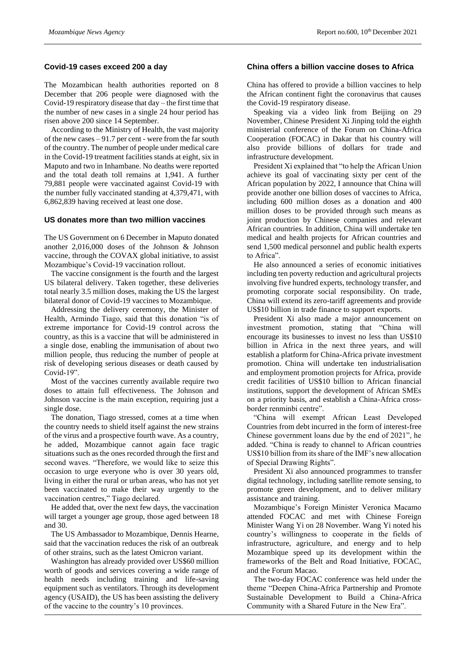#### **Covid-19 cases exceed 200 a day**

The Mozambican health authorities reported on 8 December that 206 people were diagnosed with the Covid-19 respiratory disease that day – the first time that the number of new cases in a single 24 hour period has risen above 200 since 14 September.

According to the Ministry of Health, the vast majority of the new cases – 91.7 per cent - were from the far south of the country. The number of people under medical care in the Covid-19 treatment facilities stands at eight, six in Maputo and two in Inhambane. No deaths were reported and the total death toll remains at 1,941. A further 79,881 people were vaccinated against Covid-19 with the number fully vaccinated standing at 4,379,471, with 6,862,839 having received at least one dose.

#### **US donates more than two million vaccines**

The US Government on 6 December in Maputo donated another 2,016,000 doses of the Johnson & Johnson vaccine, through the COVAX global initiative, to assist Mozambique's Covid-19 vaccination rollout.

The vaccine consignment is the fourth and the largest US bilateral delivery. Taken together, these deliveries total nearly 3.5 million doses, making the US the largest bilateral donor of Covid-19 vaccines to Mozambique.

Addressing the delivery ceremony, the Minister of Health, Armindo Tiago, said that this donation "is of extreme importance for Covid-19 control across the country, as this is a vaccine that will be administered in a single dose, enabling the immunisation of about two million people, thus reducing the number of people at risk of developing serious diseases or death caused by Covid-19".

Most of the vaccines currently available require two doses to attain full effectiveness. The Johnson and Johnson vaccine is the main exception, requiring just a single dose.

The donation, Tiago stressed, comes at a time when the country needs to shield itself against the new strains of the virus and a prospective fourth wave. As a country, he added, Mozambique cannot again face tragic situations such as the ones recorded through the first and second waves. "Therefore, we would like to seize this occasion to urge everyone who is over 30 years old, living in either the rural or urban areas, who has not yet been vaccinated to make their way urgently to the vaccination centres," Tiago declared.

He added that, over the next few days, the vaccination will target a younger age group, those aged between 18 and 30.

The US Ambassador to Mozambique, Dennis Hearne, said that the vaccination reduces the risk of an outbreak of other strains, such as the latest Omicron variant.

Washington has already provided over US\$60 million worth of goods and services covering a wide range of health needs including training and life-saving equipment such as ventilators. Through its development agency (USAID), the US has been assisting the delivery of the vaccine to the country's 10 provinces.

# **China offers a billion vaccine doses to Africa**

China has offered to provide a billion vaccines to help the African continent fight the coronavirus that causes the Covid-19 respiratory disease.

Speaking via a video link from Beijing on 29 November, Chinese President Xi Jinping told the eighth ministerial conference of the Forum on China-Africa Cooperation (FOCAC) in Dakar that his country will also provide billions of dollars for trade and infrastructure development.

President Xi explained that "to help the African Union achieve its goal of vaccinating sixty per cent of the African population by 2022, I announce that China will provide another one billion doses of vaccines to Africa, including 600 million doses as a donation and 400 million doses to be provided through such means as joint production by Chinese companies and relevant African countries. In addition, China will undertake ten medical and health projects for African countries and send 1,500 medical personnel and public health experts to Africa".

He also announced a series of economic initiatives including ten poverty reduction and agricultural projects involving five hundred experts, technology transfer, and promoting corporate social responsibility. On trade, China will extend its zero-tariff agreements and provide US\$10 billion in trade finance to support exports.

President Xi also made a major announcement on investment promotion, stating that "China will encourage its businesses to invest no less than US\$10 billion in Africa in the next three years, and will establish a platform for China-Africa private investment promotion. China will undertake ten industrialisation and employment promotion projects for Africa, provide credit facilities of US\$10 billion to African financial institutions, support the development of African SMEs on a priority basis, and establish a China-Africa crossborder renminbi centre".

"China will exempt African Least Developed Countries from debt incurred in the form of interest-free Chinese government loans due by the end of 2021", he added. "China is ready to channel to African countries US\$10 billion from its share of the IMF's new allocation of Special Drawing Rights".

President Xi also announced programmes to transfer digital technology, including satellite remote sensing, to promote green development, and to deliver military assistance and training.

Mozambique's Foreign Minister Veronica Macamo attended FOCAC and met with Chinese Foreign Minister Wang Yi on 28 November. Wang Yi noted his country's willingness to cooperate in the fields of infrastructure, agriculture, and energy and to help Mozambique speed up its development within the frameworks of the Belt and Road Initiative, FOCAC, and the Forum Macao.

The two-day FOCAC conference was held under the theme "Deepen China-Africa Partnership and Promote Sustainable Development to Build a China-Africa Community with a Shared Future in the New Era".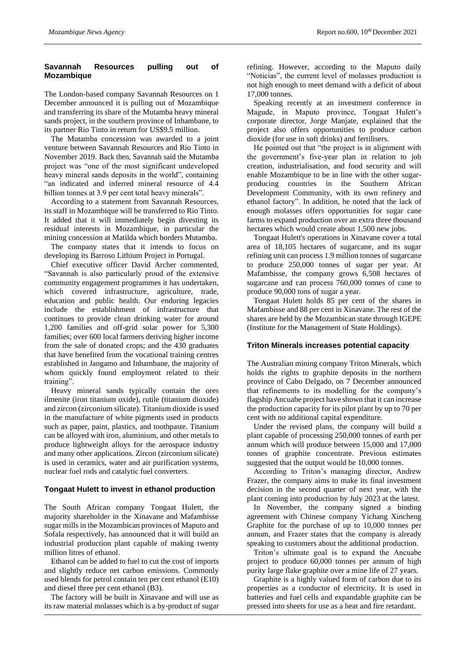# **Savannah Resources pulling out of Mozambique**

The London-based company Savannah Resources on 1 December announced it is pulling out of Mozambique and transferring its share of the Mutamba heavy mineral sands project, in the southern province of Inhambane, to its partner Rio Tinto in return for US\$9.5 million.

The Mutamba concession was awarded to a joint venture between Savannah Resources and Rio Tinto in November 2019. Back then, Savannah said the Mutamba project was "one of the most significant undeveloped heavy mineral sands deposits in the world", containing "an indicated and inferred mineral resource of 4.4 billion tonnes at 3.9 per cent total heavy minerals".

According to a statement from Savannah Resources, its staff in Mozambique will be transferred to Rio Tinto. It added that it will immediately begin divesting its residual interests in Mozambique, in particular the mining concession at Matilda which borders Mutamba.

The company states that it intends to focus on developing its Barroso Lithium Project in Portugal.

Chief executive officer David Archer commented, "Savannah is also particularly proud of the extensive community engagement programmes it has undertaken, which covered infrastructure, agriculture, trade, education and public health. Our enduring legacies include the establishment of infrastructure that continues to provide clean drinking water for around 1,200 families and off-grid solar power for 5,300 families; over 600 local farmers deriving higher income from the sale of donated crops; and the 430 graduates that have benefited from the vocational training centres established in Jangamo and Inhambane, the majority of whom quickly found employment related to their training".

Heavy mineral sands typically contain the ores ilmenite (iron titanium oxide), rutile (titanium dioxide) and zircon (zirconium silicate). Titanium dioxide is used in the manufacture of white pigments used in products such as paper, paint, plastics, and toothpaste. Titanium can be alloyed with iron, aluminium, and other metals to produce lightweight alloys for the aerospace industry and many other applications. Zircon (zirconium silicate) is used in ceramics, water and air purification systems, nuclear fuel rods and catalytic fuel converters.

# **Tongaat Hulett to invest in ethanol production**

The South African company Tongaat Hulett, the majority shareholder in the Xinavane and Mafambisse sugar mills in the Mozambican provinces of Maputo and Sofala respectively, has announced that it will build an industrial production plant capable of making twenty million litres of ethanol.

Ethanol can be added to fuel to cut the cost of imports and slightly reduce net carbon emissions. Commonly used blends for petrol contain ten per cent ethanol (E10) and diesel three per cent ethanol (B3).

The factory will be built in Xinavane and will use as its raw material molasses which is a by-product of sugar

refining. However, according to the Maputo daily "Noticias", the current level of molasses production is not high enough to meet demand with a deficit of about 17,000 tonnes.

Speaking recently at an investment conference in Magude, in Maputo province, Tongaat Hulett's corporate director, Jorge Manjate, explained that the project also offers opportunities to produce carbon dioxide (for use in soft drinks) and fertilisers.

He pointed out that "the project is in alignment with the government's five-year plan in relation to job creation, industrialisation, and food security and will enable Mozambique to be in line with the other sugarproducing countries in the Southern African Development Community, with its own refinery and ethanol factory". In addition, he noted that the lack of enough molasses offers opportunities for sugar cane farms to expand production over an extra three thousand hectares which would create about 1,500 new jobs.

Tongaat Hulett's operations in Xinavane cover a total area of 18,105 hectares of sugarcane, and its sugar refining unit can process 1.9 million tonnes of sugarcane to produce 250,000 tonnes of sugar per year. At Mafambisse, the company grows 6,508 hectares of sugarcane and can process 760,000 tonnes of cane to produce 90,000 tons of sugar a year.

Tongaat Hulett holds 85 per cent of the shares in Mafambisse and 88 per cent in Xinavane. The rest of the shares are held by the Mozambican state through IGEPE (Institute for the Management of State Holdings).

# **Triton Minerals increases potential capacity**

The Australian mining company Triton Minerals, which holds the rights to graphite deposits in the northern province of Cabo Delgado, on 7 December announced that refinements to its modelling for the company's flagship Ancuabe project have shown that it can increase the production capacity for its pilot plant by up to 70 per cent with no additional capital expenditure.

Under the revised plans, the company will build a plant capable of processing 250,000 tonnes of earth per annum which will produce between 15,000 and 17,000 tonnes of graphite concentrate. Previous estimates suggested that the output would be 10,000 tonnes.

According to Triton's managing director, Andrew Frazer, the company aims to make its final investment decision in the second quarter of next year, with the plant coming into production by July 2023 at the latest.

In November, the company signed a binding agreement with Chinese company Yichang Xincheng Graphite for the purchase of up to 10,000 tonnes per annum, and Frazer states that the company is already speaking to customers about the additional production.

Triton's ultimate goal is to expand the Ancuabe project to produce 60,000 tonnes per annum of high purity large flake graphite over a mine life of 27 years.

Graphite is a highly valued form of carbon due to its properties as a conductor of electricity. It is used in batteries and fuel cells and expandable graphite can be pressed into sheets for use as a heat and fire retardant.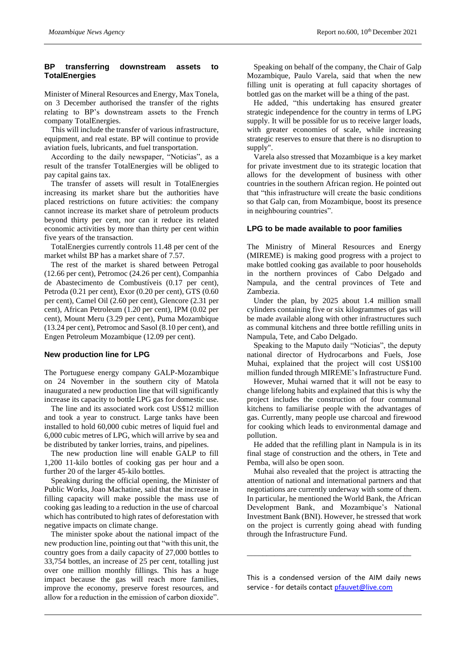# **BP transferring downstream assets to TotalEnergies**

Minister of Mineral Resources and Energy, Max Tonela, on 3 December authorised the transfer of the rights relating to BP's downstream assets to the French company TotalEnergies.

This will include the transfer of various infrastructure, equipment, and real estate. BP will continue to provide aviation fuels, lubricants, and fuel transportation.

According to the daily newspaper, "Noticias", as a result of the transfer TotalEnergies will be obliged to pay capital gains tax.

The transfer of assets will result in TotalEnergies increasing its market share but the authorities have placed restrictions on future activities: the company cannot increase its market share of petroleum products beyond thirty per cent, nor can it reduce its related economic activities by more than thirty per cent within five years of the transaction.

TotalEnergies currently controls 11.48 per cent of the market whilst BP has a market share of 7.57.

The rest of the market is shared between Petrogal (12.66 per cent), Petromoc (24.26 per cent), Companhia de Abastecimento de Combustíveis (0.17 per cent), Petroda (0.21 per cent), Exor (0.20 per cent), GTS (0.60 per cent), Camel Oil (2.60 per cent), Glencore (2.31 per cent), African Petroleum (1.20 per cent), IPM (0.02 per cent), Mount Meru (3.29 per cent), Puma Mozambique (13.24 per cent), Petromoc and Sasol (8.10 per cent), and Engen Petroleum Mozambique (12.09 per cent).

# **New production line for LPG**

The Portuguese energy company GALP-Mozambique on 24 November in the southern city of Matola inaugurated a new production line that will significantly increase its capacity to bottle LPG gas for domestic use.

The line and its associated work cost US\$12 million and took a year to construct. Large tanks have been installed to hold 60,000 cubic metres of liquid fuel and 6,000 cubic metres of LPG, which will arrive by sea and be distributed by tanker lorries, trains, and pipelines.

The new production line will enable GALP to fill 1,200 11-kilo bottles of cooking gas per hour and a further 20 of the larger 45-kilo bottles.

Speaking during the official opening, the Minister of Public Works, Joao Machatine, said that the increase in filling capacity will make possible the mass use of cooking gas leading to a reduction in the use of charcoal which has contributed to high rates of deforestation with negative impacts on climate change.

The minister spoke about the national impact of the new production line, pointing out that "with this unit, the country goes from a daily capacity of 27,000 bottles to 33,754 bottles, an increase of 25 per cent, totalling just over one million monthly fillings. This has a huge impact because the gas will reach more families, improve the economy, preserve forest resources, and allow for a reduction in the emission of carbon dioxide".

Speaking on behalf of the company, the Chair of Galp Mozambique, Paulo Varela, said that when the new filling unit is operating at full capacity shortages of bottled gas on the market will be a thing of the past.

He added, "this undertaking has ensured greater strategic independence for the country in terms of LPG supply. It will be possible for us to receive larger loads, with greater economies of scale, while increasing strategic reserves to ensure that there is no disruption to supply".

Varela also stressed that Mozambique is a key market for private investment due to its strategic location that allows for the development of business with other countries in the southern African region. He pointed out that "this infrastructure will create the basic conditions so that Galp can, from Mozambique, boost its presence in neighbouring countries".

# **LPG to be made available to poor families**

The Ministry of Mineral Resources and Energy (MIREME) is making good progress with a project to make bottled cooking gas available to poor households in the northern provinces of Cabo Delgado and Nampula, and the central provinces of Tete and Zambezia.

Under the plan, by 2025 about 1.4 million small cylinders containing five or six kilogrammes of gas will be made available along with other infrastructures such as communal kitchens and three bottle refilling units in Nampula, Tete, and Cabo Delgado.

Speaking to the Maputo daily "Noticias", the deputy national director of Hydrocarbons and Fuels, Jose Muhai, explained that the project will cost US\$100 million funded through MIREME's Infrastructure Fund.

However, Muhai warned that it will not be easy to change lifelong habits and explained that this is why the project includes the construction of four communal kitchens to familiarise people with the advantages of gas. Currently, many people use charcoal and firewood for cooking which leads to environmental damage and pollution.

He added that the refilling plant in Nampula is in its final stage of construction and the others, in Tete and Pemba, will also be open soon.

Muhai also revealed that the project is attracting the attention of national and international partners and that negotiations are currently underway with some of them. In particular, he mentioned the World Bank, the African Development Bank, and Mozambique's National Investment Bank (BNI). However, he stressed that work on the project is currently going ahead with funding through the Infrastructure Fund.

This is a condensed version of the AIM daily news service - for details contac[t pfauvet@live.com](mailto:pfauvet@live.com)

\_\_\_\_\_\_\_\_\_\_\_\_\_\_\_\_\_\_\_\_\_\_\_\_\_\_\_\_\_\_\_\_\_\_\_\_\_\_\_\_\_\_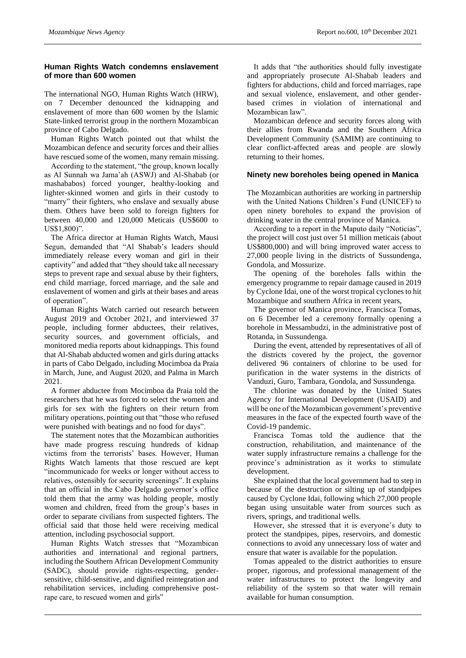# **Human Rights Watch condemns enslavement of more than 600 women**

The international NGO, Human Rights Watch (HRW), on 7 December denounced the kidnapping and enslavement of more than 600 women by the Islamic State-linked terrorist group in the northern Mozambican province of Cabo Delgado.

Human Rights Watch pointed out that whilst the Mozambican defence and security forces and their allies have rescued some of the women, many remain missing.

According to the statement, "the group, known locally as Al Sunnah wa Jama'ah (ASWJ) and Al-Shabab (or mashababos) forced younger, healthy-looking and lighter-skinned women and girls in their custody to "marry" their fighters, who enslave and sexually abuse them. Others have been sold to foreign fighters for between 40,000 and 120,000 Meticais (US\$600 to US\$1,800)".

The Africa director at Human Rights Watch, Mausi Segun, demanded that "Al Shabab's leaders should immediately release every woman and girl in their captivity" and added that "they should take all necessary steps to prevent rape and sexual abuse by their fighters, end child marriage, forced marriage, and the sale and enslavement of women and girls at their bases and areas of operation".

Human Rights Watch carried out research between August 2019 and October 2021, and interviewed 37 people, including former abductees, their relatives, security sources, and government officials, and monitored media reports about kidnappings. This found that Al-Shabab abducted women and girls during attacks in parts of Cabo Delgado, including Mocimboa da Praia in March, June, and August 2020, and Palma in March 2021.

A former abductee from Mocimboa da Praia told the researchers that he was forced to select the women and girls for sex with the fighters on their return from military operations, pointing out that "those who refused were punished with beatings and no food for days".

The statement notes that the Mozambican authorities have made progress rescuing hundreds of kidnap victims from the terrorists' bases. However, Human Rights Watch laments that those rescued are kept "incommunicado for weeks or longer without access to relatives, ostensibly for security screenings". It explains that an official in the Cabo Delgado governor's office told them that the army was holding people, mostly women and children, freed from the group's bases in order to separate civilians from suspected fighters. The official said that those held were receiving medical attention, including psychosocial support.

Human Rights Watch stresses that "Mozambican authorities and international and regional partners, including the Southern African Development Community (SADC), should provide rights-respecting, gendersensitive, child-sensitive, and dignified reintegration and rehabilitation services, including comprehensive postrape care, to rescued women and girls"

It adds that "the authorities should fully investigate and appropriately prosecute Al-Shabab leaders and fighters for abductions, child and forced marriages, rape and sexual violence, enslavement, and other genderbased crimes in violation of international and Mozambican law".

Mozambican defence and security forces along with their allies from Rwanda and the Southern Africa Development Community (SAMIM) are continuing to clear conflict-affected areas and people are slowly returning to their homes.

# **Ninety new boreholes being opened in Manica**

The Mozambican authorities are working in partnership with the United Nations Children's Fund (UNICEF) to open ninety boreholes to expand the provision of drinking water in the central province of Manica.

According to a report in the Maputo daily "Noticias", the project will cost just over 51 million meticais (about US\$800,000) and will bring improved water access to 27,000 people living in the districts of Sussundenga, Gondola, and Mossurize.

The opening of the boreholes falls within the emergency programme to repair damage caused in 2019 by Cyclone Idai, one of the worst tropical cyclones to hit Mozambique and southern Africa in recent years,

The governor of Manica province, Francisca Tomas, on 6 December led a ceremony formally opening a borehole in Messambudzi, in the administrative post of Rotanda, in Sussundenga.

During the event, attended by representatives of all of the districts covered by the project, the governor delivered 96 containers of chlorine to be used for purification in the water systems in the districts of Vanduzi, Guro, Tambara, Gondola, and Sussundenga.

The chlorine was donated by the United States Agency for International Development (USAID) and will be one of the Mozambican government's preventive measures in the face of the expected fourth wave of the Covid-19 pandemic.

Francisca Tomas told the audience that the construction, rehabilitation, and maintenance of the water supply infrastructure remains a challenge for the province's administration as it works to stimulate development.

She explained that the local government had to step in because of the destruction or silting up of standpipes caused by Cyclone Idai, following which 27,000 people began using unsuitable water from sources such as rivers, springs, and traditional wells.

However, she stressed that it is everyone's duty to protect the standpipes, pipes, reservoirs, and domestic connections to avoid any unnecessary loss of water and ensure that water is available for the population.

Tomas appealed to the district authorities to ensure proper, rigorous, and professional management of the water infrastructures to protect the longevity and reliability of the system so that water will remain available for human consumption.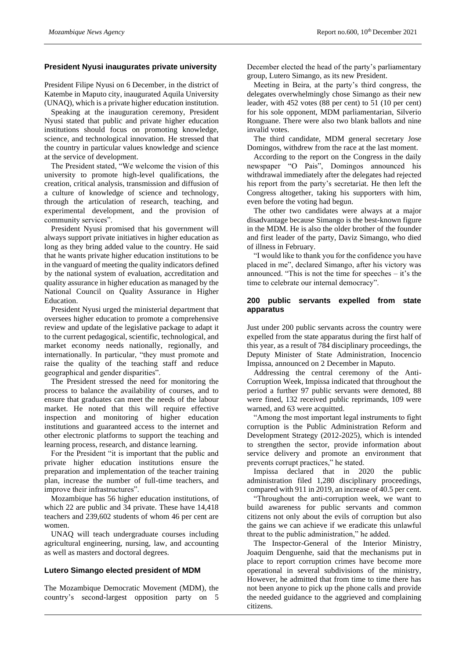#### **President Nyusi inaugurates private university**

President Filipe Nyusi on 6 December, in the district of Katembe in Maputo city, inaugurated Aquila University (UNAQ), which is a private higher education institution.

Speaking at the inauguration ceremony, President Nyusi stated that public and private higher education institutions should focus on promoting knowledge, science, and technological innovation. He stressed that the country in particular values knowledge and science at the service of development.

The President stated, "We welcome the vision of this university to promote high-level qualifications, the creation, critical analysis, transmission and diffusion of a culture of knowledge of science and technology, through the articulation of research, teaching, and experimental development, and the provision of community services".

President Nyusi promised that his government will always support private initiatives in higher education as long as they bring added value to the country. He said that he wants private higher education institutions to be in the vanguard of meeting the quality indicators defined by the national system of evaluation, accreditation and quality assurance in higher education as managed by the National Council on Quality Assurance in Higher Education.

President Nyusi urged the ministerial department that oversees higher education to promote a comprehensive review and update of the legislative package to adapt it to the current pedagogical, scientific, technological, and market economy needs nationally, regionally, and internationally. In particular, "they must promote and raise the quality of the teaching staff and reduce geographical and gender disparities".

The President stressed the need for monitoring the process to balance the availability of courses, and to ensure that graduates can meet the needs of the labour market. He noted that this will require effective inspection and monitoring of higher education institutions and guaranteed access to the internet and other electronic platforms to support the teaching and learning process, research, and distance learning.

For the President "it is important that the public and private higher education institutions ensure the preparation and implementation of the teacher training plan, increase the number of full-time teachers, and improve their infrastructures".

Mozambique has 56 higher education institutions, of which 22 are public and 34 private. These have 14,418 teachers and 239,602 students of whom 46 per cent are women.

UNAQ will teach undergraduate courses including agricultural engineering, nursing, law, and accounting as well as masters and doctoral degrees.

# **Lutero Simango elected president of MDM**

The Mozambique Democratic Movement (MDM), the country's second-largest opposition party on 5 December elected the head of the party's parliamentary group, Lutero Simango, as its new President.

Meeting in Beira, at the party's third congress, the delegates overwhelmingly chose Simango as their new leader, with 452 votes (88 per cent) to 51 (10 per cent) for his sole opponent, MDM parliamentarian, Silverio Ronguane. There were also two blank ballots and nine invalid votes.

The third candidate, MDM general secretary Jose Domingos, withdrew from the race at the last moment.

According to the report on the Congress in the daily newspaper "O Pais", Domingos announced his withdrawal immediately after the delegates had rejected his report from the party's secretariat. He then left the Congress altogether, taking his supporters with him, even before the voting had begun.

The other two candidates were always at a major disadvantage because Simango is the best-known figure in the MDM. He is also the older brother of the founder and first leader of the party, Daviz Simango, who died of illness in February.

"I would like to thank you for the confidence you have placed in me", declared Simango, after his victory was announced. "This is not the time for speeches – it's the time to celebrate our internal democracy".

#### **200 public servants expelled from state apparatus**

Just under 200 public servants across the country were expelled from the state apparatus during the first half of this year, as a result of 784 disciplinary proceedings, the Deputy Minister of State Administration, Inocencio Impissa, announced on 2 December in Maputo.

Addressing the central ceremony of the Anti-Corruption Week, Impissa indicated that throughout the period a further 97 public servants were demoted, 88 were fined, 132 received public reprimands, 109 were warned, and 63 were acquitted.

"Among the most important legal instruments to fight corruption is the Public Administration Reform and Development Strategy (2012-2025), which is intended to strengthen the sector, provide information about service delivery and promote an environment that prevents corrupt practices," he stated.

Impissa declared that in 2020 the public administration filed 1,280 disciplinary proceedings, compared with 911 in 2019, an increase of 40.5 per cent.

"Throughout the anti-corruption week, we want to build awareness for public servants and common citizens not only about the evils of corruption but also the gains we can achieve if we eradicate this unlawful threat to the public administration," he added.

The Inspector-General of the Interior Ministry, Joaquim Denguenhe, said that the mechanisms put in place to report corruption crimes have become more operational in several subdivisions of the ministry, However, he admitted that from time to time there has not been anyone to pick up the phone calls and provide the needed guidance to the aggrieved and complaining citizens.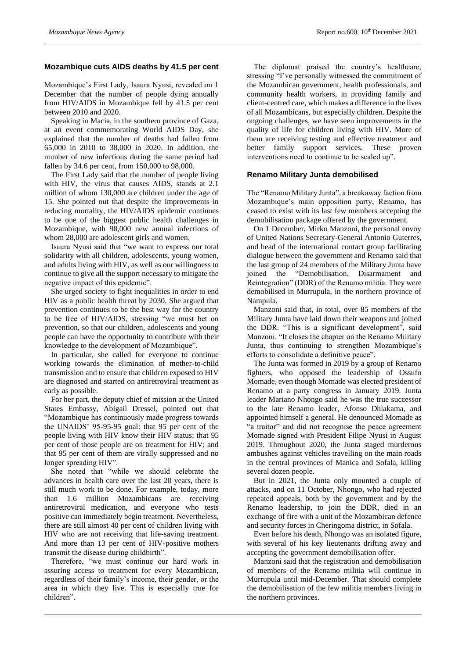#### **Mozambique cuts AIDS deaths by 41.5 per cent**

Mozambique's First Lady, Isaura Nyusi, revealed on 1 December that the number of people dying annually from HIV/AIDS in Mozambique fell by 41.5 per cent between 2010 and 2020.

Speaking in Macia, in the southern province of Gaza, at an event commemorating World AIDS Day, she explained that the number of deaths had fallen from 65,000 in 2010 to 38,000 in 2020. In addition, the number of new infections during the same period had fallen by 34.6 per cent, from 150,000 to 98,000.

The First Lady said that the number of people living with HIV, the virus that causes AIDS, stands at 2.1 million of whom 130,000 are children under the age of 15. She pointed out that despite the improvements in reducing mortality, the HIV/AIDS epidemic continues to be one of the biggest public health challenges in Mozambique, with 98,000 new annual infections of whom 28,000 are adolescent girls and women.

Isaura Nyusi said that "we want to express our total solidarity with all children, adolescents, young women, and adults living with HIV, as well as our willingness to continue to give all the support necessary to mitigate the negative impact of this epidemic".

She urged society to fight inequalities in order to end HIV as a public health threat by 2030. She argued that prevention continues to be the best way for the country to be free of HIV/AIDS, stressing "we must bet on prevention, so that our children, adolescents and young people can have the opportunity to contribute with their knowledge to the development of Mozambique".

In particular, she called for everyone to continue working towards the elimination of mother-to-child transmission and to ensure that children exposed to HIV are diagnosed and started on antiretroviral treatment as early as possible.

For her part, the deputy chief of mission at the United States Embassy, Abigail Dressel, pointed out that "Mozambique has continuously made progress towards the UNAIDS' 95-95-95 goal: that 95 per cent of the people living with HIV know their HIV status; that 95 per cent of those people are on treatment for HIV; and that 95 per cent of them are virally suppressed and no longer spreading HIV".

She noted that "while we should celebrate the advances in health care over the last 20 years, there is still much work to be done. For example, today, more than 1.6 million Mozambicans are receiving antiretroviral medication, and everyone who tests positive can immediately begin treatment. Nevertheless, there are still almost 40 per cent of children living with HIV who are not receiving that life-saving treatment. And more than 13 per cent of HIV-positive mothers transmit the disease during childbirth".

Therefore, "we must continue our hard work in assuring access to treatment for every Mozambican, regardless of their family's income, their gender, or the area in which they live. This is especially true for children".

The diplomat praised the country's healthcare, stressing "I've personally witnessed the commitment of the Mozambican government, health professionals, and community health workers, in providing family and client-centred care, which makes a difference in the lives of all Mozambicans, but especially children. Despite the ongoing challenges, we have seen improvements in the quality of life for children living with HIV. More of them are receiving testing and effective treatment and better family support services. These proven interventions need to continue to be scaled up".

#### **Renamo Military Junta demobilised**

The "Renamo Military Junta", a breakaway faction from Mozambique's main opposition party, Renamo, has ceased to exist with its last few members accepting the demobilisation package offered by the government.

On 1 December, Mirko Manzoni, the personal envoy of United Nations Secretary-General Antonio Guterres, and head of the international contact group facilitating dialogue between the government and Renamo said that the last group of 24 members of the Military Junta have joined the "Demobilisation, Disarmament and Reintegration" (DDR) of the Renamo militia. They were demobilised in Murrupula, in the northern province of Nampula.

Manzoni said that, in total, over 85 members of the Military Junta have laid down their weapons and joined the DDR. "This is a significant development", said Manzoni. "It closes the chapter on the Renamo Military Junta, thus continuing to strengthen Mozambique's efforts to consolidate a definitive peace".

The Junta was formed in 2019 by a group of Renamo fighters, who opposed the leadership of Ossufo Momade, even though Momade was elected president of Renamo at a party congress in January 2019. Junta leader Mariano Nhongo said he was the true successor to the late Renamo leader, Afonso Dhlakama, and appointed himself a general. He denounced Momade as "a traitor" and did not recognise the peace agreement Momade signed with President Filipe Nyusi in August 2019. Throughout 2020, the Junta staged murderous ambushes against vehicles travelling on the main roads in the central provinces of Manica and Sofala, killing several dozen people.

But in 2021, the Junta only mounted a couple of attacks, and on 11 October, Nhongo, who had rejected repeated appeals, both by the government and by the Renamo leadership, to join the DDR, died in an exchange of fire with a unit of the Mozambican defence and security forces in Cheringoma district, in Sofala.

Even before his death, Nhongo was an isolated figure, with several of his key lieutenants drifting away and accepting the government demobilisation offer.

Manzoni said that the registration and demobilisation of members of the Renamo militia will continue in Murrupula until mid-December. That should complete the demobilisation of the few militia members living in the northern provinces.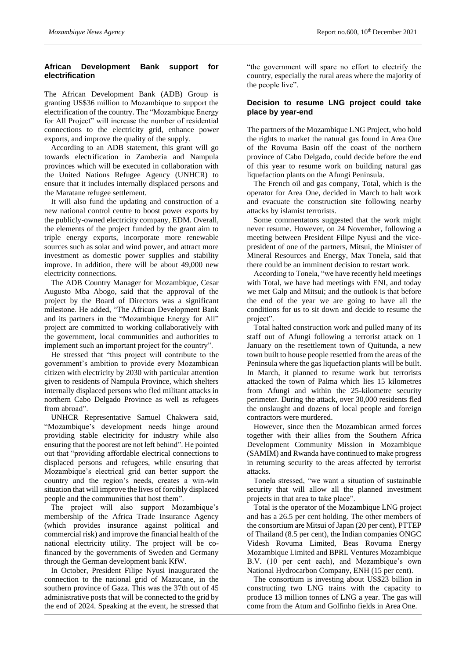# **African Development Bank support for electrification**

The African Development Bank (ADB) Group is granting US\$36 million to Mozambique to support the electrification of the country. The "Mozambique Energy for All Project" will increase the number of residential connections to the electricity grid, enhance power exports, and improve the quality of the supply.

According to an ADB statement, this grant will go towards electrification in Zambezia and Nampula provinces which will be executed in collaboration with the United Nations Refugee Agency (UNHCR) to ensure that it includes internally displaced persons and the Maratane refugee settlement.

It will also fund the updating and construction of a new national control centre to boost power exports by the publicly-owned electricity company, EDM. Overall, the elements of the project funded by the grant aim to triple energy exports, incorporate more renewable sources such as solar and wind power, and attract more investment as domestic power supplies and stability improve. In addition, there will be about 49,000 new electricity connections.

The ADB Country Manager for Mozambique, Cesar Augusto Mba Abogo, said that the approval of the project by the Board of Directors was a significant milestone. He added, "The African Development Bank and its partners in the "Mozambique Energy for All" project are committed to working collaboratively with the government, local communities and authorities to implement such an important project for the country".

He stressed that "this project will contribute to the government's ambition to provide every Mozambican citizen with electricity by 2030 with particular attention given to residents of Nampula Province, which shelters internally displaced persons who fled militant attacks in northern Cabo Delgado Province as well as refugees from abroad".

UNHCR Representative Samuel Chakwera said, "Mozambique's development needs hinge around providing stable electricity for industry while also ensuring that the poorest are not left behind". He pointed out that "providing affordable electrical connections to displaced persons and refugees, while ensuring that Mozambique's electrical grid can better support the country and the region's needs, creates a win-win situation that will improve the lives of forcibly displaced people and the communities that host them".

The project will also support Mozambique's membership of the Africa Trade Insurance Agency (which provides insurance against political and commercial risk) and improve the financial health of the national electricity utility. The project will be cofinanced by the governments of Sweden and Germany through the German development bank KfW.

In October, President Filipe Nyusi inaugurated the connection to the national grid of Mazucane, in the southern province of Gaza. This was the 37th out of 45 administrative posts that will be connected to the grid by the end of 2024. Speaking at the event, he stressed that

"the government will spare no effort to electrify the country, especially the rural areas where the majority of the people live".

# **Decision to resume LNG project could take place by year-end**

The partners of the Mozambique LNG Project, who hold the rights to market the natural gas found in Area One of the Rovuma Basin off the coast of the northern province of Cabo Delgado, could decide before the end of this year to resume work on building natural gas liquefaction plants on the Afungi Peninsula.

The French oil and gas company, Total, which is the operator for Area One, decided in March to halt work and evacuate the construction site following nearby attacks by islamist terrorists.

Some commentators suggested that the work might never resume. However, on 24 November, following a meeting between President Filipe Nyusi and the vicepresident of one of the partners, Mitsui, the Minister of Mineral Resources and Energy, Max Tonela, said that there could be an imminent decision to restart work.

According to Tonela, "we have recently held meetings with Total, we have had meetings with ENI, and today we met Galp and Mitsui; and the outlook is that before the end of the year we are going to have all the conditions for us to sit down and decide to resume the project".

Total halted construction work and pulled many of its staff out of Afungi following a terrorist attack on 1 January on the resettlement town of Quitunda, a new town built to house people resettled from the areas of the Peninsula where the gas liquefaction plants will be built. In March, it planned to resume work but terrorists attacked the town of Palma which lies 15 kilometres from Afungi and within the 25-kilometre security perimeter. During the attack, over 30,000 residents fled the onslaught and dozens of local people and foreign contractors were murdered.

However, since then the Mozambican armed forces together with their allies from the Southern Africa Development Community Mission in Mozambique (SAMIM) and Rwanda have continued to make progress in returning security to the areas affected by terrorist attacks.

Tonela stressed, "we want a situation of sustainable security that will allow all the planned investment projects in that area to take place".

Total is the operator of the Mozambique LNG project and has a 26.5 per cent holding. The other members of the consortium are Mitsui of Japan (20 per cent), PTTEP of Thailand (8.5 per cent), the Indian companies ONGC Videsh Rovuma Limited, Beas Rovuma Energy Mozambique Limited and BPRL Ventures Mozambique B.V. (10 per cent each), and Mozambique's own National Hydrocarbon Company, ENH (15 per cent).

The consortium is investing about US\$23 billion in constructing two LNG trains with the capacity to produce 13 million tonnes of LNG a year. The gas will come from the Atum and Golfinho fields in Area One.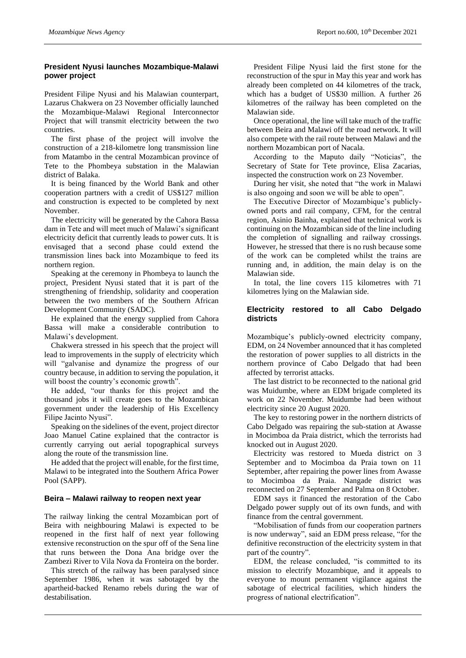#### **President Nyusi launches Mozambique-Malawi power project**

President Filipe Nyusi and his Malawian counterpart, Lazarus Chakwera on 23 November officially launched the Mozambique-Malawi Regional Interconnector Project that will transmit electricity between the two countries.

The first phase of the project will involve the construction of a 218-kilometre long transmission line from Matambo in the central Mozambican province of Tete to the Phombeya substation in the Malawian district of Balaka.

It is being financed by the World Bank and other cooperation partners with a credit of US\$127 million and construction is expected to be completed by next November.

The electricity will be generated by the Cahora Bassa dam in Tete and will meet much of Malawi's significant electricity deficit that currently leads to power cuts. It is envisaged that a second phase could extend the transmission lines back into Mozambique to feed its northern region.

Speaking at the ceremony in Phombeya to launch the project, President Nyusi stated that it is part of the strengthening of friendship, solidarity and cooperation between the two members of the Southern African Development Community (SADC).

He explained that the energy supplied from Cahora Bassa will make a considerable contribution to Malawi's development.

Chakwera stressed in his speech that the project will lead to improvements in the supply of electricity which will "galvanise and dynamize the progress of our country because, in addition to serving the population, it will boost the country's economic growth".

He added, "our thanks for this project and the thousand jobs it will create goes to the Mozambican government under the leadership of His Excellency Filipe Jacinto Nyusi".

Speaking on the sidelines of the event, project director Joao Manuel Catine explained that the contractor is currently carrying out aerial topographical surveys along the route of the transmission line.

He added that the project will enable, for the first time, Malawi to be integrated into the Southern Africa Power Pool (SAPP).

#### **Beira – Malawi railway to reopen next year**

The railway linking the central Mozambican port of Beira with neighbouring Malawi is expected to be reopened in the first half of next year following extensive reconstruction on the spur off of the Sena line that runs between the Dona Ana bridge over the Zambezi River to Vila Nova da Fronteira on the border.

This stretch of the railway has been paralysed since September 1986, when it was sabotaged by the apartheid-backed Renamo rebels during the war of destabilisation.

President Filipe Nyusi laid the first stone for the reconstruction of the spur in May this year and work has already been completed on 44 kilometres of the track, which has a budget of US\$30 million. A further 26 kilometres of the railway has been completed on the Malawian side.

Once operational, the line will take much of the traffic between Beira and Malawi off the road network. It will also compete with the rail route between Malawi and the northern Mozambican port of Nacala.

According to the Maputo daily "Noticias", the Secretary of State for Tete province, Elisa Zacarias, inspected the construction work on 23 November.

During her visit, she noted that "the work in Malawi is also ongoing and soon we will be able to open".

The Executive Director of Mozambique's publiclyowned ports and rail company, CFM, for the central region, Asinio Bainha, explained that technical work is continuing on the Mozambican side of the line including the completion of signalling and railway crossings. However, he stressed that there is no rush because some of the work can be completed whilst the trains are running and, in addition, the main delay is on the Malawian side.

In total, the line covers 115 kilometres with 71 kilometres lying on the Malawian side.

#### **Electricity restored to all Cabo Delgado districts**

Mozambique's publicly-owned electricity company, EDM, on 24 November announced that it has completed the restoration of power supplies to all districts in the northern province of Cabo Delgado that had been affected by terrorist attacks.

The last district to be reconnected to the national grid was Muidumbe, where an EDM brigade completed its work on 22 November. Muidumbe had been without electricity since 20 August 2020.

The key to restoring power in the northern districts of Cabo Delgado was repairing the sub-station at Awasse in Mocimboa da Praia district, which the terrorists had knocked out in August 2020.

Electricity was restored to Mueda district on 3 September and to Mocimboa da Praia town on 11 September, after repairing the power lines from Awasse to Mocimboa da Praia. Nangade district was reconnected on 27 September and Palma on 8 October.

EDM says it financed the restoration of the Cabo Delgado power supply out of its own funds, and with finance from the central government.

"Mobilisation of funds from our cooperation partners is now underway", said an EDM press release, "for the definitive reconstruction of the electricity system in that part of the country".

EDM, the release concluded, "is committed to its mission to electrify Mozambique, and it appeals to everyone to mount permanent vigilance against the sabotage of electrical facilities, which hinders the progress of national electrification".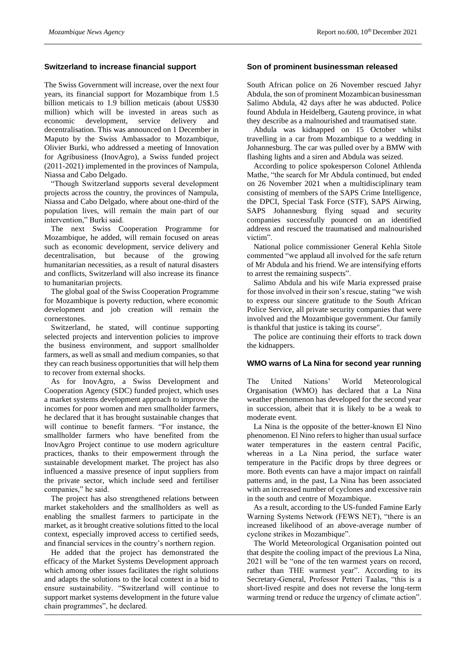#### **Switzerland to increase financial support**

The Swiss Government will increase, over the next four years, its financial support for Mozambique from 1.5 billion meticais to 1.9 billion meticais (about US\$30 million) which will be invested in areas such as economic development, service delivery and decentralisation. This was announced on 1 December in Maputo by the Swiss Ambassador to Mozambique, Olivier Burki, who addressed a meeting of Innovation for Agribusiness (InovAgro), a Swiss funded project (2011-2021) implemented in the provinces of Nampula, Niassa and Cabo Delgado.

"Though Switzerland supports several development projects across the country, the provinces of Nampula, Niassa and Cabo Delgado, where about one-third of the population lives, will remain the main part of our intervention," Burki said.

The next Swiss Cooperation Programme for Mozambique, he added, will remain focused on areas such as economic development, service delivery and decentralisation, but because of the growing humanitarian necessities, as a result of natural disasters and conflicts, Switzerland will also increase its finance to humanitarian projects.

The global goal of the Swiss Cooperation Programme for Mozambique is poverty reduction, where economic development and job creation will remain the cornerstones.

Switzerland, he stated, will continue supporting selected projects and intervention policies to improve the business environment, and support smallholder farmers, as well as small and medium companies, so that they can reach business opportunities that will help them to recover from external shocks.

As for InovAgro, a Swiss Development and Cooperation Agency (SDC) funded project, which uses a market systems development approach to improve the incomes for poor women and men smallholder farmers, he declared that it has brought sustainable changes that will continue to benefit farmers. "For instance, the smallholder farmers who have benefited from the InovAgro Project continue to use modern agriculture practices, thanks to their empowerment through the sustainable development market. The project has also influenced a massive presence of input suppliers from the private sector, which include seed and fertiliser companies," he said.

The project has also strengthened relations between market stakeholders and the smallholders as well as enabling the smallest farmers to participate in the market, as it brought creative solutions fitted to the local context, especially improved access to certified seeds, and financial services in the country's northern region.

He added that the project has demonstrated the efficacy of the Market Systems Development approach which among other issues facilitates the right solutions and adapts the solutions to the local context in a bid to ensure sustainability. "Switzerland will continue to support market systems development in the future value chain programmes", he declared.

#### **Son of prominent businessman released**

South African police on 26 November rescued Jahyr Abdula, the son of prominent Mozambican businessman Salimo Abdula, 42 days after he was abducted. Police found Abdula in Heidelberg, Gauteng province, in what they describe as a malnourished and traumatised state.

Abdula was kidnapped on 15 October whilst travelling in a car from Mozambique to a wedding in Johannesburg. The car was pulled over by a BMW with flashing lights and a siren and Abdula was seized.

According to police spokesperson Colonel Athlenda Mathe, "the search for Mr Abdula continued, but ended on 26 November 2021 when a multidisciplinary team consisting of members of the SAPS Crime Intelligence, the DPCI, Special Task Force (STF), SAPS Airwing, SAPS Johannesburg flying squad and security companies successfully pounced on an identified address and rescued the traumatised and malnourished victim".

National police commissioner General Kehla Sitole commented "we applaud all involved for the safe return of Mr Abdula and his friend. We are intensifying efforts to arrest the remaining suspects".

Salimo Abdula and his wife Maria expressed praise for those involved in their son's rescue, stating "we wish to express our sincere gratitude to the South African Police Service, all private security companies that were involved and the Mozambique government. Our family is thankful that justice is taking its course".

The police are continuing their efforts to track down the kidnappers.

#### **WMO warns of La Nina for second year running**

The United Nations' World Meteorological Organisation (WMO) has declared that a La Nina weather phenomenon has developed for the second year in succession, albeit that it is likely to be a weak to moderate event.

La Nina is the opposite of the better-known El Nino phenomenon. El Nino refers to higher than usual surface water temperatures in the eastern central Pacific, whereas in a La Nina period, the surface water temperature in the Pacific drops by three degrees or more. Both events can have a major impact on rainfall patterns and, in the past, La Nina has been associated with an increased number of cyclones and excessive rain in the south and centre of Mozambique.

As a result, according to the US-funded Famine Early Warning Systems Network (FEWS NET), "there is an increased likelihood of an above-average number of cyclone strikes in Mozambique".

The World Meteorological Organisation pointed out that despite the cooling impact of the previous La Nina, 2021 will be "one of the ten warmest years on record, rather than THE warmest year". According to its Secretary-General, Professor Petteri Taalas, "this is a short-lived respite and does not reverse the long-term warming trend or reduce the urgency of climate action".